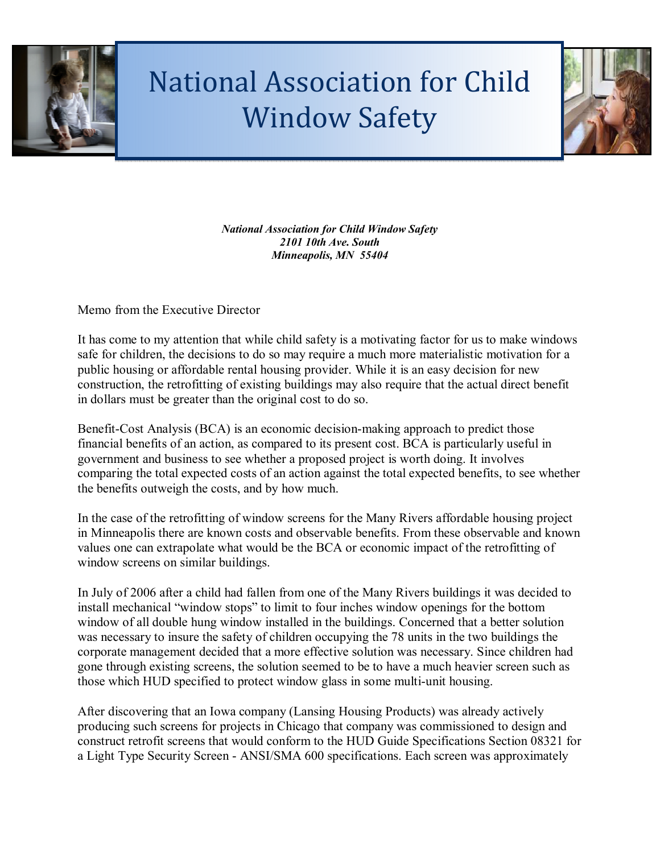

## National Association for Child Window Safety



*National Association for Child Window Safety 2101 10th Ave. South Minneapolis, MN 55404* 

Memo from the Executive Director

It has come to my attention that while child safety is a motivating factor for us to make windows safe for children, the decisions to do so may require a much more materialistic motivation for a public housing or affordable rental housing provider. While it is an easy decision for new construction, the retrofitting of existing buildings may also require that the actual direct benefit in dollars must be greater than the original cost to do so.

Benefit-Cost Analysis (BCA) is an economic decision-making approach to predict those financial benefits of an action, as compared to its present cost. BCA is particularly useful in government and business to see whether a proposed project is worth doing. It involves comparing the total expected costs of an action against the total expected benefits, to see whether the benefits outweigh the costs, and by how much.

In the case of the retrofitting of window screens for the Many Rivers affordable housing project in Minneapolis there are known costs and observable benefits. From these observable and known values one can extrapolate what would be the BCA or economic impact of the retrofitting of window screens on similar buildings.

In July of 2006 after a child had fallen from one of the Many Rivers buildings it was decided to install mechanical "window stops" to limit to four inches window openings for the bottom window of all double hung window installed in the buildings. Concerned that a better solution was necessary to insure the safety of children occupying the 78 units in the two buildings the corporate management decided that a more effective solution was necessary. Since children had gone through existing screens, the solution seemed to be to have a much heavier screen such as those which HUD specified to protect window glass in some multi-unit housing.

After discovering that an Iowa company (Lansing Housing Products) was already actively producing such screens for projects in Chicago that company was commissioned to design and construct retrofit screens that would conform to the HUD Guide Specifications Section 08321 for a Light Type Security Screen - ANSI/SMA 600 specifications. Each screen was approximately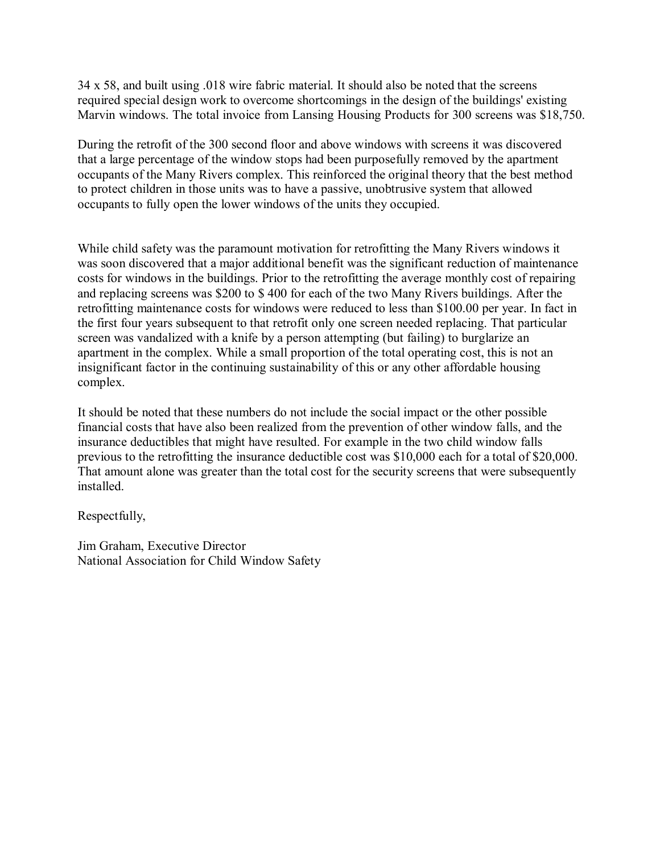34 x 58, and built using .018 wire fabric material. It should also be noted that the screens required special design work to overcome shortcomings in the design of the buildings' existing Marvin windows. The total invoice from Lansing Housing Products for 300 screens was \$18,750.

During the retrofit of the 300 second floor and above windows with screens it was discovered that a large percentage of the window stops had been purposefully removed by the apartment occupants of the Many Rivers complex. This reinforced the original theory that the best method to protect children in those units was to have a passive, unobtrusive system that allowed occupants to fully open the lower windows of the units they occupied.

While child safety was the paramount motivation for retrofitting the Many Rivers windows it was soon discovered that a major additional benefit was the significant reduction of maintenance costs for windows in the buildings. Prior to the retrofitting the average monthly cost of repairing and replacing screens was \$200 to \$ 400 for each of the two Many Rivers buildings. After the retrofitting maintenance costs for windows were reduced to less than \$100.00 per year. In fact in the first four years subsequent to that retrofit only one screen needed replacing. That particular screen was vandalized with a knife by a person attempting (but failing) to burglarize an apartment in the complex. While a small proportion of the total operating cost, this is not an insignificant factor in the continuing sustainability of this or any other affordable housing complex.

It should be noted that these numbers do not include the social impact or the other possible financial costs that have also been realized from the prevention of other window falls, and the insurance deductibles that might have resulted. For example in the two child window falls previous to the retrofitting the insurance deductible cost was \$10,000 each for a total of \$20,000. That amount alone was greater than the total cost for the security screens that were subsequently installed.

Respectfully,

Jim Graham, Executive Director National Association for Child Window Safety